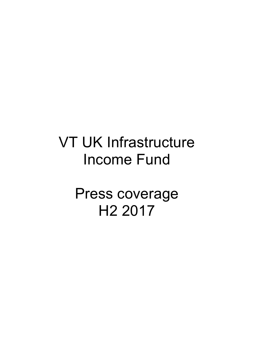## VT UK Infrastructure Income Fund

Press coverage H2 2017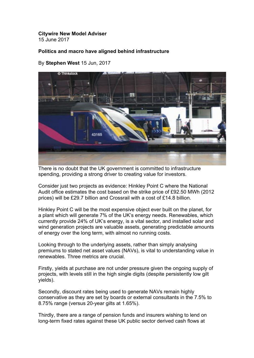## **Citywire New Model Adviser**

15 June 2017

## **Politics and macro have aligned behind infrastructure**

By **Stephen West** 15 Jun, 2017



There is no doubt that the UK government is committed to infrastructure spending, providing a strong driver to creating value for investors.

Consider just two projects as evidence: Hinkley Point C where the National Audit office estimates the cost based on the strike price of £92.50 MWh (2012 prices) will be £29.7 billion and Crossrail with a cost of £14.8 billion.

Hinkley Point C will be the most expensive object ever built on the planet, for a plant which will generate 7% of the UK's energy needs. Renewables, which currently provide 24% of UK's energy, is a vital sector, and installed solar and wind generation projects are valuable assets, generating predictable amounts of energy over the long term, with almost no running costs.

Looking through to the underlying assets, rather than simply analysing premiums to stated net asset values (NAVs), is vital to understanding value in renewables. Three metrics are crucial.

Firstly, yields at purchase are not under pressure given the ongoing supply of projects, with levels still in the high single digits (despite persistently low gilt yields).

Secondly, discount rates being used to generate NAVs remain highly conservative as they are set by boards or external consultants in the 7.5% to 8.75% range (versus 20-year gilts at 1.65%).

Thirdly, there are a range of pension funds and insurers wishing to lend on long-term fixed rates against these UK public sector derived cash flows at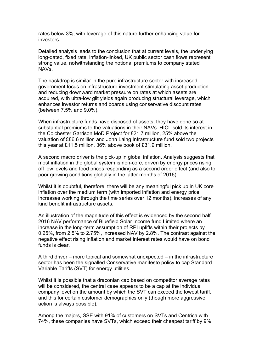rates below 3%, with leverage of this nature further enhancing value for investors.

Detailed analysis leads to the conclusion that at current levels, the underlying long-dated, fixed rate, inflation-linked, UK public sector cash flows represent strong value, notwithstanding the notional premiums to company stated NAVs.

The backdrop is similar in the pure infrastructure sector with increased government focus on infrastructure investment stimulating asset production and reducing downward market pressure on rates at which assets are acquired, with ultra-low gilt yields again producing structural leverage, which enhances investor returns and boards using conservative discount rates (between 7.5% and 9.0%).

When infrastructure funds have disposed of assets, they have done so at substantial premiums to the valuations in their NAVs. HICL sold its interest in the Colchester Garrison MoD Project for £21.7 million, 25% above the valuation of £86.6 million and John Laing Infrastructure fund sold two projects this year at £11.5 million, 36% above book of £31.9 million.

A second macro driver is the pick-up in global inflation. Analysis suggests that most inflation in the global system is non-core, driven by energy prices rising off low levels and food prices responding as a second order effect (and also to poor growing conditions globally in the latter months of 2016).

Whilst it is doubtful, therefore, there will be any meaningful pick up in UK core inflation over the medium term (with imported inflation and energy price increases working through the time series over 12 months), increases of any kind benefit infrastructure assets.

An illustration of the magnitude of this effect is evidenced by the second half 2016 NAV performance of Bluefield Solar Income fund Limited where an increase in the long-term assumption of RPI uplifts within their projects by 0.25%, from 2.5% to 2.75%, increased NAV by 2.8%. The contrast against the negative effect rising inflation and market interest rates would have on bond funds is clear.

A third driver – more topical and somewhat unexpected – in the infrastructure sector has been the signalled Conservative manifesto policy to cap Standard Variable Tariffs (SVT) for energy utilities.

Whilst it is possible that a draconian cap based on competitor average rates will be considered, the central case appears to be a cap at the individual company level on the amount by which the SVT can exceed the lowest tariff, and this for certain customer demographics only (though more aggressive action is always possible).

Among the majors, SSE with 91% of customers on SVTs and Centrica with 74%, these companies have SVTs, which exceed their cheapest tariff by 9%